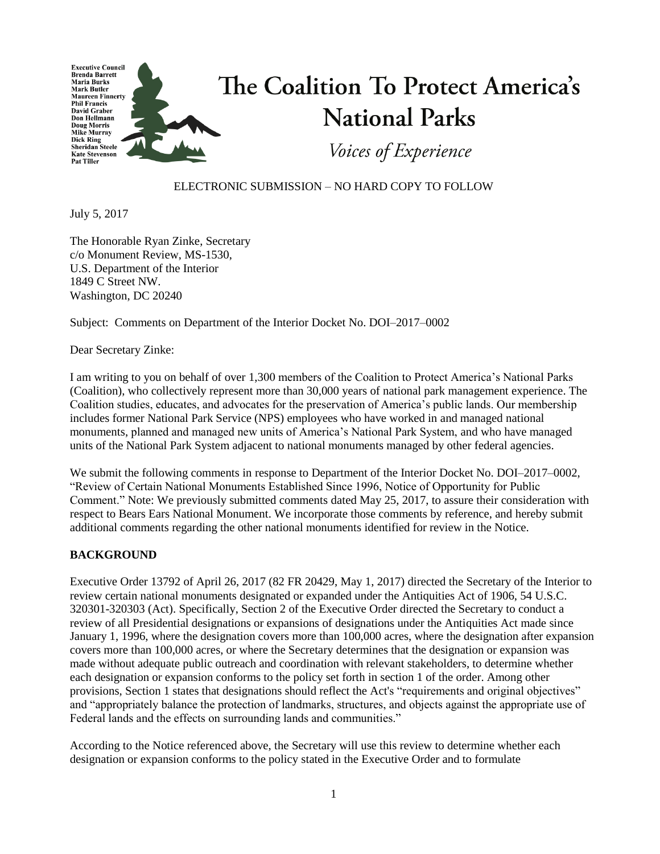

# ELECTRONIC SUBMISSION – NO HARD COPY TO FOLLOW

July 5, 2017

The Honorable Ryan Zinke, Secretary c/o Monument Review, MS-1530, U.S. Department of the Interior 1849 C Street NW. Washington, DC 20240

Subject: Comments on Department of the Interior Docket No. DOI–2017–0002

Dear Secretary Zinke:

I am writing to you on behalf of over 1,300 members of the Coalition to Protect America's National Parks (Coalition), who collectively represent more than 30,000 years of national park management experience. The Coalition studies, educates, and advocates for the preservation of America's public lands. Our membership includes former National Park Service (NPS) employees who have worked in and managed national monuments, planned and managed new units of America's National Park System, and who have managed units of the National Park System adjacent to national monuments managed by other federal agencies.

We submit the following comments in response to Department of the Interior Docket No. DOI–2017–0002, "Review of Certain National Monuments Established Since 1996, Notice of Opportunity for Public Comment." Note: We previously submitted comments dated May 25, 2017, to assure their consideration with respect to Bears Ears National Monument. We incorporate those comments by reference, and hereby submit additional comments regarding the other national monuments identified for review in the Notice.

#### **BACKGROUND**

Executive Order 13792 of April 26, 2017 (82 FR 20429, May 1, 2017) directed the Secretary of the Interior to review certain national monuments designated or expanded under the Antiquities Act of 1906, 54 U.S.C. 320301-320303 (Act). Specifically, Section 2 of the Executive Order directed the Secretary to conduct a review of all Presidential designations or expansions of designations under the Antiquities Act made since January 1, 1996, where the designation covers more than 100,000 acres, where the designation after expansion covers more than 100,000 acres, or where the Secretary determines that the designation or expansion was made without adequate public outreach and coordination with relevant stakeholders, to determine whether each designation or expansion conforms to the policy set forth in section 1 of the order. Among other provisions, Section 1 states that designations should reflect the Act's "requirements and original objectives" and "appropriately balance the protection of landmarks, structures, and objects against the appropriate use of Federal lands and the effects on surrounding lands and communities."

According to the Notice referenced above, the Secretary will use this review to determine whether each designation or expansion conforms to the policy stated in the Executive Order and to formulate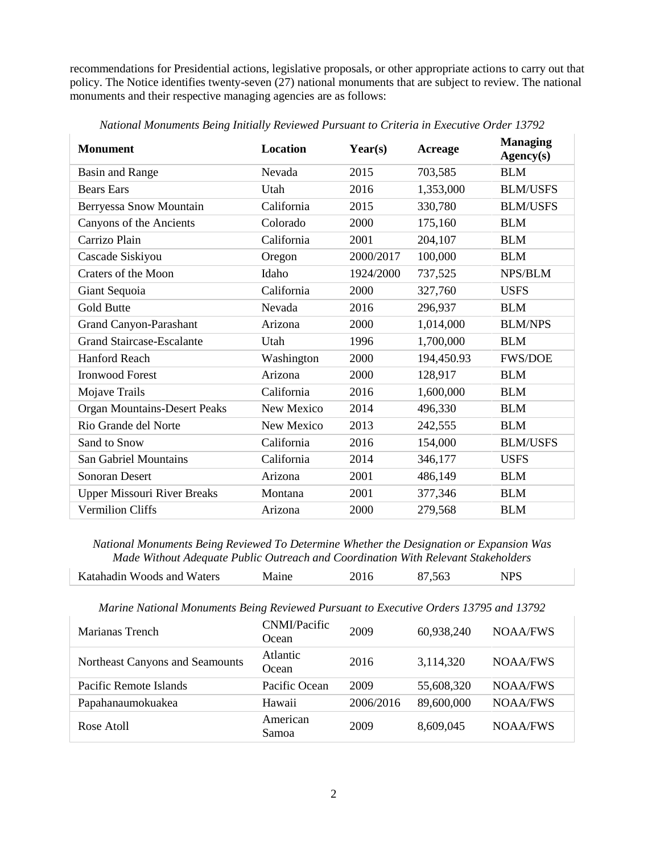recommendations for Presidential actions, legislative proposals, or other appropriate actions to carry out that policy. The Notice identifies twenty-seven (27) national monuments that are subject to review. The national monuments and their respective managing agencies are as follows:

| <b>Monument</b>                     | <b>Location</b> | Year(s)   | Acreage    | <b>Managing</b><br>Agency(s) |
|-------------------------------------|-----------------|-----------|------------|------------------------------|
| <b>Basin and Range</b>              | Nevada          | 2015      | 703,585    | <b>BLM</b>                   |
| <b>Bears</b> Ears                   | Utah            | 2016      | 1,353,000  | <b>BLM/USFS</b>              |
| Berryessa Snow Mountain             | California      | 2015      | 330,780    | <b>BLM/USFS</b>              |
| Canyons of the Ancients             | Colorado        | 2000      | 175,160    | <b>BLM</b>                   |
| Carrizo Plain                       | California      | 2001      | 204,107    | <b>BLM</b>                   |
| Cascade Siskiyou                    | Oregon          | 2000/2017 | 100,000    | <b>BLM</b>                   |
| Craters of the Moon                 | Idaho           | 1924/2000 | 737,525    | NPS/BLM                      |
| Giant Sequoia                       | California      | 2000      | 327,760    | <b>USFS</b>                  |
| <b>Gold Butte</b>                   | Nevada          | 2016      | 296,937    | <b>BLM</b>                   |
| <b>Grand Canyon-Parashant</b>       | Arizona         | 2000      | 1,014,000  | <b>BLM/NPS</b>               |
| <b>Grand Staircase-Escalante</b>    | Utah            | 1996      | 1,700,000  | <b>BLM</b>                   |
| <b>Hanford Reach</b>                | Washington      | 2000      | 194,450.93 | <b>FWS/DOE</b>               |
| <b>Ironwood Forest</b>              | Arizona         | 2000      | 128,917    | <b>BLM</b>                   |
| Mojave Trails                       | California      | 2016      | 1,600,000  | <b>BLM</b>                   |
| <b>Organ Mountains-Desert Peaks</b> | New Mexico      | 2014      | 496,330    | <b>BLM</b>                   |
| Rio Grande del Norte                | New Mexico      | 2013      | 242,555    | <b>BLM</b>                   |
| Sand to Snow                        | California      | 2016      | 154,000    | <b>BLM/USFS</b>              |
| <b>San Gabriel Mountains</b>        | California      | 2014      | 346,177    | <b>USFS</b>                  |
| <b>Sonoran Desert</b>               | Arizona         | 2001      | 486,149    | <b>BLM</b>                   |
| <b>Upper Missouri River Breaks</b>  | Montana         | 2001      | 377,346    | <b>BLM</b>                   |
| <b>Vermilion Cliffs</b>             | Arizona         | 2000      | 279,568    | <b>BLM</b>                   |

*National Monuments Being Initially Reviewed Pursuant to Criteria in Executive Order 13792*

*National Monuments Being Reviewed To Determine Whether the Designation or Expansion Was Made Without Adequate Public Outreach and Coordination With Relevant Stakeholders*

| Katahadin Woods and Waters | Maine | 2016 | 87,563 | <b>NPS</b> |  |
|----------------------------|-------|------|--------|------------|--|
|                            |       |      |        |            |  |

*Marine National Monuments Being Reviewed Pursuant to Executive Orders 13795 and 13792*

| Marianas Trench                 | <b>CNMI/Pacific</b><br>Ocean | 2009      | 60,938,240 | NOAA/FWS        |
|---------------------------------|------------------------------|-----------|------------|-----------------|
| Northeast Canyons and Seamounts | Atlantic<br>Ocean            | 2016      | 3,114,320  | NOAA/FWS        |
| Pacific Remote Islands          | Pacific Ocean                | 2009      | 55,608,320 | NOAA/FWS        |
| Papahanaumokuakea               | Hawaii                       | 2006/2016 | 89,600,000 | <b>NOAA/FWS</b> |
| Rose Atoll                      | American<br>Samoa            | 2009      | 8,609,045  | NOAA/FWS        |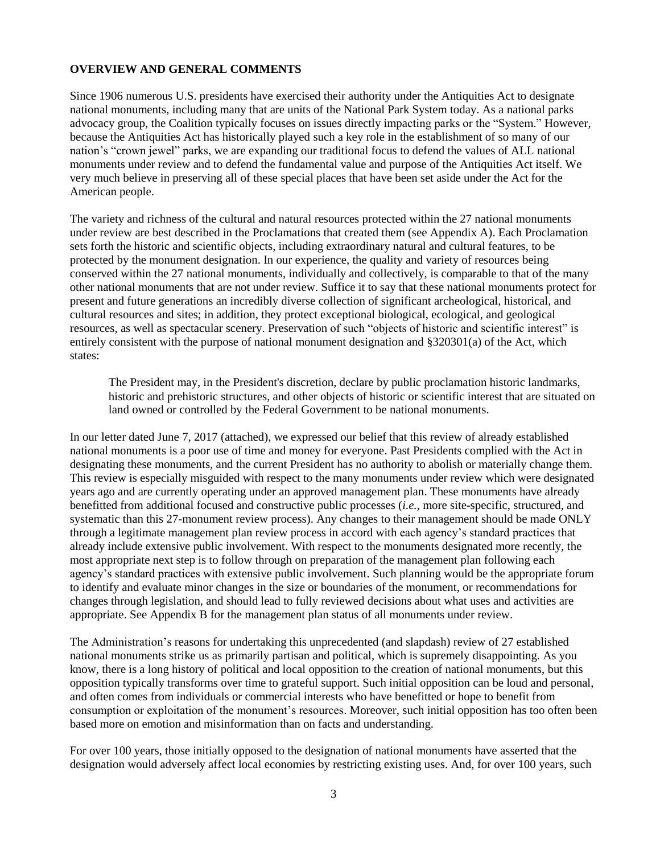### **OVERVIEW AND GENERAL COMMENTS**

Since 1906 numerous U.S. presidents have exercised their authority under the Antiquities Act to designate national monuments, including many that are units of the National Park System today. As a national parks advocacy group, the Coalition typically focuses on issues directly impacting parks or the "System." However, because the Antiquities Act has historically played such a key role in the establishment of so many of our nation's "crown jewel" parks, we are expanding our traditional focus to defend the values of ALL national monuments under review and to defend the fundamental value and purpose of the Antiquities Act itself. We very much believe in preserving all of these special places that have been set aside under the Act for the American people.

The variety and richness of the cultural and natural resources protected within the 27 national monuments under review are best described in the Proclamations that created them (see Appendix A). Each Proclamation sets forth the historic and scientific objects, including extraordinary natural and cultural features, to be protected by the monument designation. In our experience, the quality and variety of resources being conserved within the 27 national monuments, individually and collectively, is comparable to that of the many other national monuments that are not under review. Suffice it to say that these national monuments protect for present and future generations an incredibly diverse collection of significant archeological, historical, and cultural resources and sites; in addition, they protect exceptional biological, ecological, and geological resources, as well as spectacular scenery. Preservation of such "objects of historic and scientific interest" is entirely consistent with the purpose of national monument designation and §320301(a) of the Act, which states:

The President may, in the President's discretion, declare by public proclamation historic landmarks, historic and prehistoric structures, and other objects of historic or scientific interest that are situated on land owned or controlled by the Federal Government to be national monuments.

In our letter dated June 7, 2017 (attached), we expressed our belief that this review of already established national monuments is a poor use of time and money for everyone. Past Presidents complied with the Act in designating these monuments, and the current President has no authority to abolish or materially change them. This review is especially misguided with respect to the many monuments under review which were designated years ago and are currently operating under an approved management plan. These monuments have already benefitted from additional focused and constructive public processes (*i.e.*, more site-specific, structured, and systematic than this 27-monument review process). Any changes to their management should be made ONLY through a legitimate management plan review process in accord with each agency's standard practices that already include extensive public involvement. With respect to the monuments designated more recently, the most appropriate next step is to follow through on preparation of the management plan following each agency's standard practices with extensive public involvement. Such planning would be the appropriate forum to identify and evaluate minor changes in the size or boundaries of the monument, or recommendations for changes through legislation, and should lead to fully reviewed decisions about what uses and activities are appropriate. See Appendix B for the management plan status of all monuments under review.

The Administration's reasons for undertaking this unprecedented (and slapdash) review of 27 established national monuments strike us as primarily partisan and political, which is supremely disappointing. As you know, there is a long history of political and local opposition to the creation of national monuments, but this opposition typically transforms over time to grateful support. Such initial opposition can be loud and personal, and often comes from individuals or commercial interests who have benefitted or hope to benefit from consumption or exploitation of the monument's resources. Moreover, such initial opposition has too often been based more on emotion and misinformation than on facts and understanding.

For over 100 years, those initially opposed to the designation of national monuments have asserted that the designation would adversely affect local economies by restricting existing uses. And, for over 100 years, such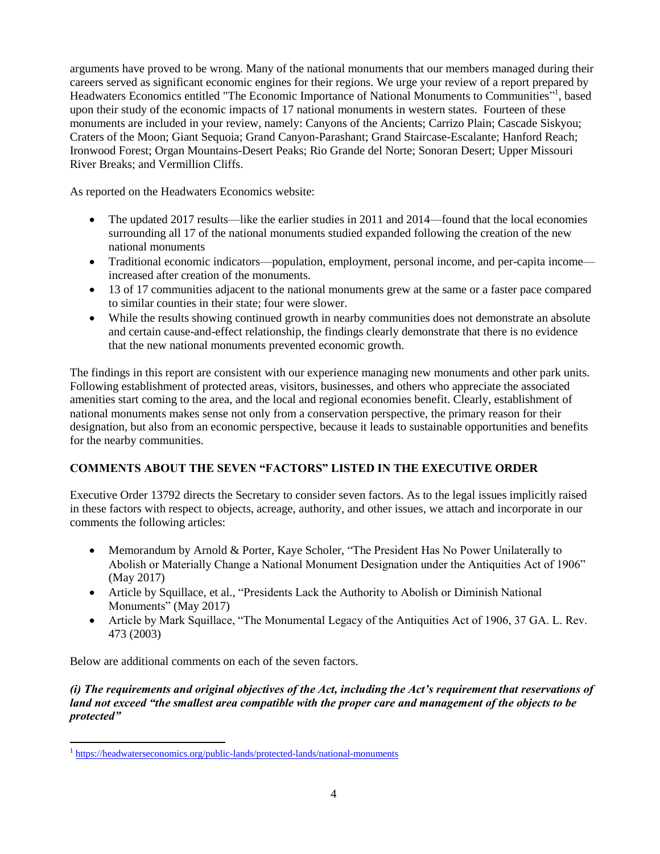arguments have proved to be wrong. Many of the national monuments that our members managed during their careers served as significant economic engines for their regions. We urge your review of a report prepared by Headwaters Economics entitled "The Economic Importance of National Monuments to Communities"<sup>1</sup>, based upon their study of the economic impacts of 17 national monuments in western states. Fourteen of these monuments are included in your review, namely: Canyons of the Ancients; Carrizo Plain; Cascade Siskyou; Craters of the Moon; Giant Sequoia; Grand Canyon-Parashant; Grand Staircase-Escalante; Hanford Reach; Ironwood Forest; Organ Mountains-Desert Peaks; Rio Grande del Norte; Sonoran Desert; Upper Missouri River Breaks; and Vermillion Cliffs.

As reported on the Headwaters Economics website:

- The updated 2017 results—like the earlier studies in 2011 and 2014—found that the local economies surrounding all 17 of the national monuments studied expanded following the creation of the new national monuments
- Traditional economic indicators—population, employment, personal income, and per-capita income increased after creation of the monuments.
- 13 of 17 communities adjacent to the national monuments grew at the same or a faster pace compared to similar counties in their state; four were slower.
- While the results showing continued growth in nearby communities does not demonstrate an absolute and certain cause-and-effect relationship, the findings clearly demonstrate that there is no evidence that the new national monuments prevented economic growth.

The findings in this report are consistent with our experience managing new monuments and other park units. Following establishment of protected areas, visitors, businesses, and others who appreciate the associated amenities start coming to the area, and the local and regional economies benefit. Clearly, establishment of national monuments makes sense not only from a conservation perspective, the primary reason for their designation, but also from an economic perspective, because it leads to sustainable opportunities and benefits for the nearby communities.

# **COMMENTS ABOUT THE SEVEN "FACTORS" LISTED IN THE EXECUTIVE ORDER**

Executive Order 13792 directs the Secretary to consider seven factors. As to the legal issues implicitly raised in these factors with respect to objects, acreage, authority, and other issues, we attach and incorporate in our comments the following articles:

- Memorandum by Arnold & Porter, Kaye Scholer, "The President Has No Power Unilaterally to Abolish or Materially Change a National Monument Designation under the Antiquities Act of 1906" (May 2017)
- Article by Squillace, et al., "Presidents Lack the Authority to Abolish or Diminish National Monuments" (May 2017)
- Article by Mark Squillace, "The Monumental Legacy of the Antiquities Act of 1906, 37 GA. L. Rev. 473 (2003)

Below are additional comments on each of the seven factors.

### *(i) The requirements and original objectives of the Act, including the Act's requirement that reservations of land not exceed "the smallest area compatible with the proper care and management of the objects to be protected"*

<sup>&</sup>lt;sup>1</sup> [https://headwaterseconomics.org/public-lands/protected-lands/national](https://headwaterseconomics.org/public-lands/protected-lands/nationa)-monuments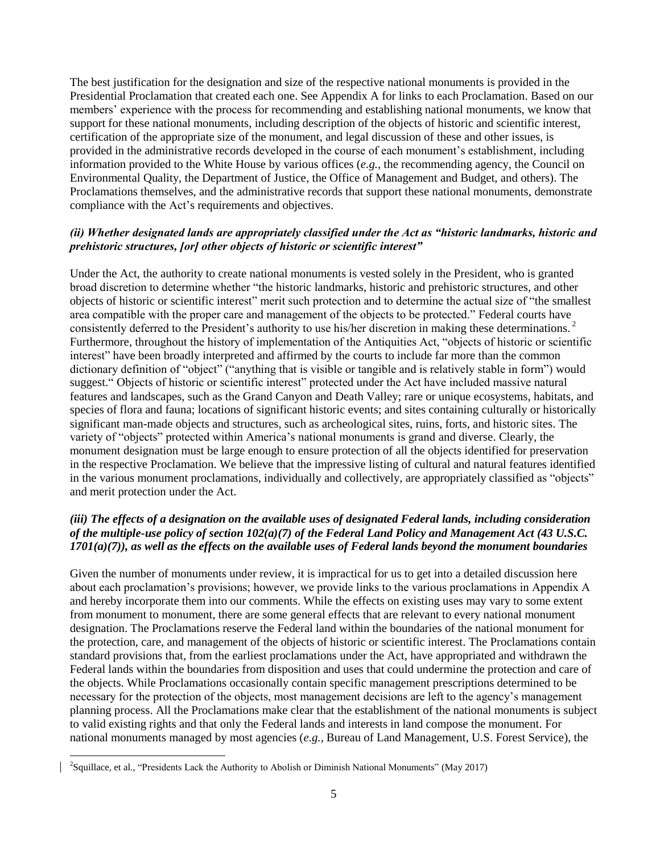The best justification for the designation and size of the respective national monuments is provided in the Presidential Proclamation that created each one. See Appendix A for links to each Proclamation. Based on our members' experience with the process for recommending and establishing national monuments, we know that support for these national monuments, including description of the objects of historic and scientific interest, certification of the appropriate size of the monument, and legal discussion of these and other issues, is provided in the administrative records developed in the course of each monument's establishment, including information provided to the White House by various offices (*e.g.*, the recommending agency, the Council on Environmental Quality, the Department of Justice, the Office of Management and Budget, and others). The Proclamations themselves, and the administrative records that support these national monuments, demonstrate compliance with the Act's requirements and objectives.

### *(ii) Whether designated lands are appropriately classified under the Act as "historic landmarks, historic and prehistoric structures, [or] other objects of historic or scientific interest"*

Under the Act, the authority to create national monuments is vested solely in the President, who is granted broad discretion to determine whether "the historic landmarks, historic and prehistoric structures, and other objects of historic or scientific interest" merit such protection and to determine the actual size of "the smallest area compatible with the proper care and management of the objects to be protected." Federal courts have consistently deferred to the President's authority to use his/her discretion in making these determinations. 2 Furthermore, throughout the history of implementation of the Antiquities Act, "objects of historic or scientific interest" have been broadly interpreted and affirmed by the courts to include far more than the common dictionary definition of "object" ("anything that is visible or tangible and is relatively stable in form") would suggest." Objects of historic or scientific interest" protected under the Act have included massive natural features and landscapes, such as the Grand Canyon and Death Valley; rare or unique ecosystems, habitats, and species of flora and fauna; locations of significant historic events; and sites containing culturally or historically significant man-made objects and structures, such as archeological sites, ruins, forts, and historic sites. The variety of "objects" protected within America's national monuments is grand and diverse. Clearly, the monument designation must be large enough to ensure protection of all the objects identified for preservation in the respective Proclamation. We believe that the impressive listing of cultural and natural features identified in the various monument proclamations, individually and collectively, are appropriately classified as "objects" and merit protection under the Act.

### *(iii) The effects of a designation on the available uses of designated Federal lands, including consideration of the multiple-use policy of section 102(a)(7) of the Federal Land Policy and Management Act (43 U.S.C. 1701(a)(7)), as well as the effects on the available uses of Federal lands beyond the monument boundaries*

Given the number of monuments under review, it is impractical for us to get into a detailed discussion here about each proclamation's provisions; however, we provide links to the various proclamations in Appendix A and hereby incorporate them into our comments. While the effects on existing uses may vary to some extent from monument to monument, there are some general effects that are relevant to every national monument designation. The Proclamations reserve the Federal land within the boundaries of the national monument for the protection, care, and management of the objects of historic or scientific interest. The Proclamations contain standard provisions that, from the earliest proclamations under the Act, have appropriated and withdrawn the Federal lands within the boundaries from disposition and uses that could undermine the protection and care of the objects. While Proclamations occasionally contain specific management prescriptions determined to be necessary for the protection of the objects, most management decisions are left to the agency's management planning process. All the Proclamations make clear that the establishment of the national monuments is subject to valid existing rights and that only the Federal lands and interests in land compose the monument. For national monuments managed by most agencies (*e.g.*, Bureau of Land Management, U.S. Forest Service), the

<sup>2</sup> Squillace, et al., "Presidents Lack the Authority to Abolish or Diminish National Monuments" (May 2017)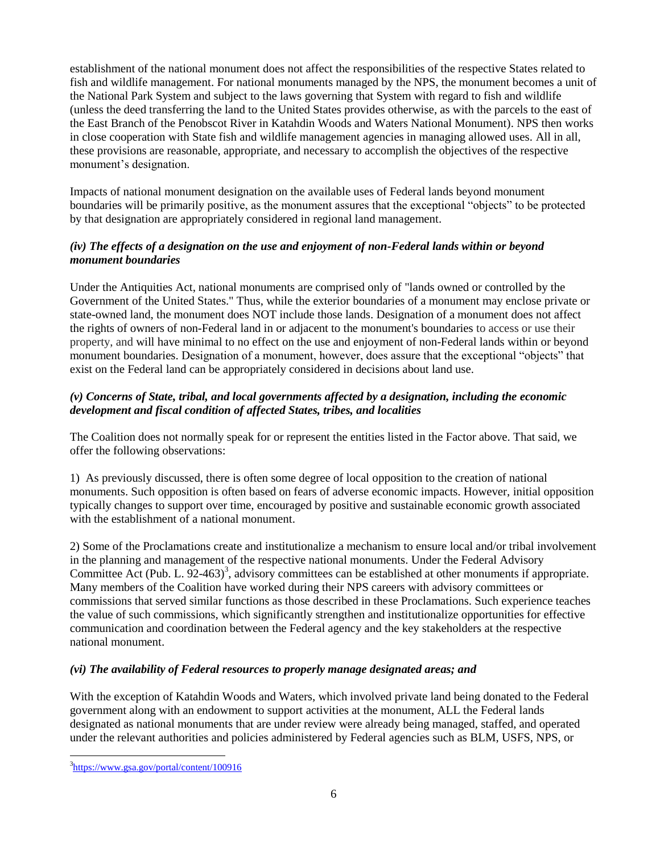establishment of the national monument does not affect the responsibilities of the respective States related to fish and wildlife management. For national monuments managed by the NPS, the monument becomes a unit of the National Park System and subject to the laws governing that System with regard to fish and wildlife (unless the deed transferring the land to the United States provides otherwise, as with the parcels to the east of the East Branch of the Penobscot River in Katahdin Woods and Waters National Monument). NPS then works in close cooperation with State fish and wildlife management agencies in managing allowed uses. All in all, these provisions are reasonable, appropriate, and necessary to accomplish the objectives of the respective monument's designation.

Impacts of national monument designation on the available uses of Federal lands beyond monument boundaries will be primarily positive, as the monument assures that the exceptional "objects" to be protected by that designation are appropriately considered in regional land management.

# *(iv) The effects of a designation on the use and enjoyment of non-Federal lands within or beyond monument boundaries*

Under the Antiquities Act, national monuments are comprised only of "lands owned or controlled by the Government of the United States." Thus, while the exterior boundaries of a monument may enclose private or state-owned land, the monument does NOT include those lands. Designation of a monument does not affect the rights of owners of non-Federal land in or adjacent to the monument's boundaries to access or use their property, and will have minimal to no effect on the use and enjoyment of non-Federal lands within or beyond monument boundaries. Designation of a monument, however, does assure that the exceptional "objects" that exist on the Federal land can be appropriately considered in decisions about land use.

# *(v) Concerns of State, tribal, and local governments affected by a designation, including the economic development and fiscal condition of affected States, tribes, and localities*

The Coalition does not normally speak for or represent the entities listed in the Factor above. That said, we offer the following observations:

1) As previously discussed, there is often some degree of local opposition to the creation of national monuments. Such opposition is often based on fears of adverse economic impacts. However, initial opposition typically changes to support over time, encouraged by positive and sustainable economic growth associated with the establishment of a national monument.

2) Some of the Proclamations create and institutionalize a mechanism to ensure local and/or tribal involvement in the planning and management of the respective national monuments. Under the Federal Advisory Committee Act (Pub. L.  $92-463$ )<sup>3</sup>, advisory committees can be established at other monuments if appropriate. Many members of the Coalition have worked during their NPS careers with advisory committees or commissions that served similar functions as those described in these Proclamations. Such experience teaches the value of such commissions, which significantly strengthen and institutionalize opportunities for effective communication and coordination between the Federal agency and the key stakeholders at the respective national monument.

### *(vi) The availability of Federal resources to properly manage designated areas; and*

With the exception of Katahdin Woods and Waters, which involved private land being donated to the Federal government along with an endowment to support activities at the monument, ALL the Federal lands designated as national monuments that are under review were already being managed, staffed, and operated under the relevant authorities and policies administered by Federal agencies such as BLM, USFS, NPS, or

 $\overline{a}$ <sup>3</sup><https://www.gsa.gov/portal/content/100916>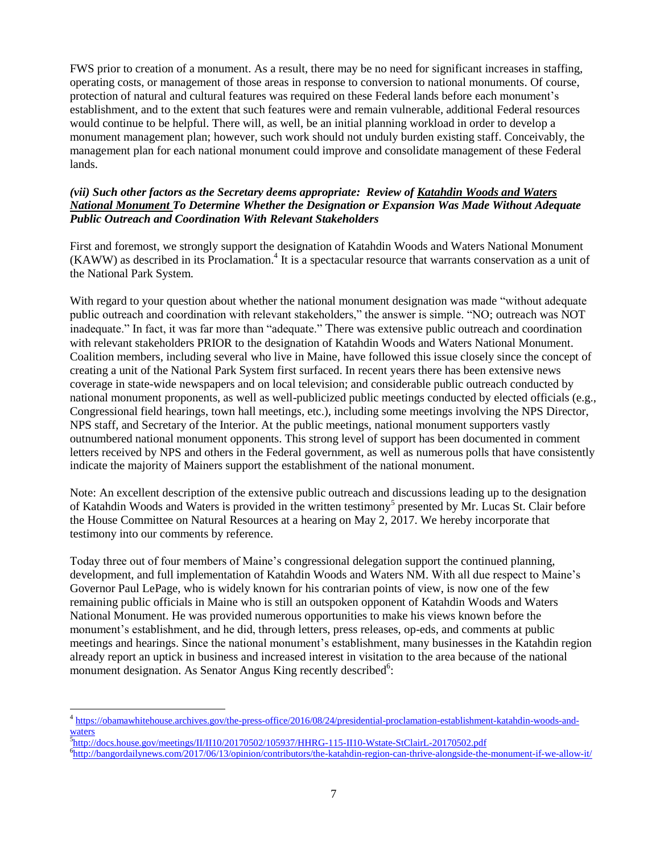FWS prior to creation of a monument. As a result, there may be no need for significant increases in staffing, operating costs, or management of those areas in response to conversion to national monuments. Of course, protection of natural and cultural features was required on these Federal lands before each monument's establishment, and to the extent that such features were and remain vulnerable, additional Federal resources would continue to be helpful. There will, as well, be an initial planning workload in order to develop a monument management plan; however, such work should not unduly burden existing staff. Conceivably, the management plan for each national monument could improve and consolidate management of these Federal lands.

### *(vii) Such other factors as the Secretary deems appropriate: Review of Katahdin Woods and Waters National Monument To Determine Whether the Designation or Expansion Was Made Without Adequate Public Outreach and Coordination With Relevant Stakeholders*

First and foremost, we strongly support the designation of Katahdin Woods and Waters National Monument (KAWW) as described in its Proclamation.<sup>4</sup> It is a spectacular resource that warrants conservation as a unit of the National Park System.

With regard to your question about whether the national monument designation was made "without adequate public outreach and coordination with relevant stakeholders," the answer is simple. "NO; outreach was NOT inadequate." In fact, it was far more than "adequate." There was extensive public outreach and coordination with relevant stakeholders PRIOR to the designation of Katahdin Woods and Waters National Monument. Coalition members, including several who live in Maine, have followed this issue closely since the concept of creating a unit of the National Park System first surfaced. In recent years there has been extensive news coverage in state-wide newspapers and on local television; and considerable public outreach conducted by national monument proponents, as well as well-publicized public meetings conducted by elected officials (e.g., Congressional field hearings, town hall meetings, etc.), including some meetings involving the NPS Director, NPS staff, and Secretary of the Interior. At the public meetings, national monument supporters vastly outnumbered national monument opponents. This strong level of support has been documented in comment letters received by NPS and others in the Federal government, as well as numerous polls that have consistently indicate the majority of Mainers support the establishment of the national monument.

Note: An excellent description of the extensive public outreach and discussions leading up to the designation of Katahdin Woods and Waters is provided in the written testimony<sup>5</sup> presented by Mr. Lucas St. Clair before the House Committee on Natural Resources at a hearing on May 2, 2017. We hereby incorporate that testimony into our comments by reference.

Today three out of four members of Maine's congressional delegation support the continued planning, development, and full implementation of Katahdin Woods and Waters NM. With all due respect to Maine's Governor Paul LePage, who is widely known for his contrarian points of view, is now one of the few remaining public officials in Maine who is still an outspoken opponent of Katahdin Woods and Waters National Monument. He was provided numerous opportunities to make his views known before the monument's establishment, and he did, through letters, press releases, op-eds, and comments at public meetings and hearings. Since the national monument's establishment, many businesses in the Katahdin region already report an uptick in business and increased interest in visitation to the area because of the national monument designation. As Senator Angus King recently described<sup>6</sup>:

<sup>4</sup> [https://obamawhitehouse.archives.gov/the-press-office/2016/08/24/presidential-proclamation-establishment-katahdin-woods-and](https://obamawhitehouse.archives.gov/the-press-office/2016/08/24/presidential-proclamation-establishment-katahdin-woods-and-waters)[waters](https://obamawhitehouse.archives.gov/the-press-office/2016/08/24/presidential-proclamation-establishment-katahdin-woods-and-waters)

<sup>&</sup>lt;sup>5</sup><http://docs.house.gov/meetings/II/II10/20170502/105937/HHRG-115-II10-Wstate-StClairL-20170502.pdf>

<sup>&</sup>lt;sup>6</sup><http://bangordailynews.com/2017/06/13/opinion/contributors/the-katahdin-region-can-thrive-alongside-the-monument-if-we-allow-it/>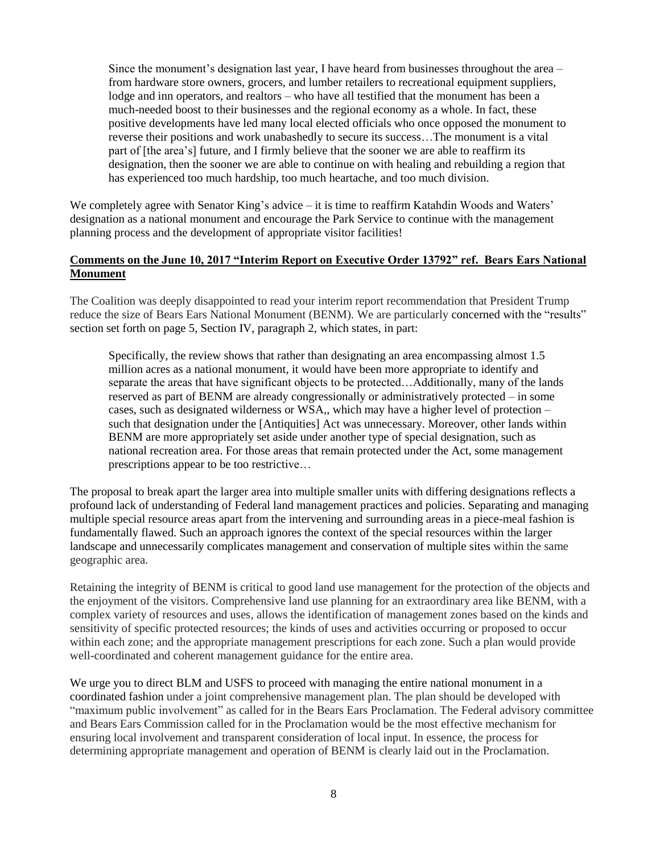Since the monument's designation last year, I have heard from businesses throughout the area – from hardware store owners, grocers, and lumber retailers to recreational equipment suppliers, lodge and inn operators, and realtors – who have all testified that the monument has been [a](https://www.google.com/url?q=http://bangordailynews.com/2017/04/29/opinion/my-katahdin-area-business-is-booming-thanks-to-maines-new-national-monument/&sa=D&ust=1497374246274000&usg=AFQjCNGB3lAEkUKDrbAzJUhFmy3rlWnutQ)  [much-needed boost to their businesses and the regional economy](https://www.google.com/url?q=http://bangordailynews.com/2017/04/29/opinion/my-katahdin-area-business-is-booming-thanks-to-maines-new-national-monument/&sa=D&ust=1497374246274000&usg=AFQjCNGB3lAEkUKDrbAzJUhFmy3rlWnutQ) as a whole. In fact, these positive developments have led many local elected officials who once opposed the monument [to](https://www.google.com/url?q=http://bangordailynews.com/2017/05/10/outdoors/former-critics-sign-letter-asking-to-preserve-maines-monument/&sa=D&ust=1497374246275000&usg=AFQjCNHdRdQbDy-bc8_n3vcHFWvQUxejvQ)  [reverse their positions and work unabashedly to secure its success…](https://www.google.com/url?q=http://bangordailynews.com/2017/05/10/outdoors/former-critics-sign-letter-asking-to-preserve-maines-monument/&sa=D&ust=1497374246275000&usg=AFQjCNHdRdQbDy-bc8_n3vcHFWvQUxejvQ)The monument is a vital part of [the area's] future, and I firmly believe that the sooner we are able to reaffirm its designation, then the sooner we are able to continue on with healing and rebuilding a region that has experienced too much hardship, too much heartache, and too much division.

We completely agree with Senator King's advice – it is time to reaffirm Katahdin Woods and Waters' designation as a national monument and encourage the Park Service to continue with the management planning process and the development of appropriate visitor facilities!

#### **Comments on the June 10, 2017 "Interim Report on Executive Order 13792" ref. Bears Ears National Monument**

The Coalition was deeply disappointed to read your interim report recommendation that President Trump reduce the size of Bears Ears National Monument (BENM). We are particularly concerned with the "results" section set forth on page 5, Section IV, paragraph 2, which states, in part:

Specifically, the review shows that rather than designating an area encompassing almost 1.5 million acres as a national monument, it would have been more appropriate to identify and separate the areas that have significant objects to be protected…Additionally, many of the lands reserved as part of BENM are already congressionally or administratively protected – in some cases, such as designated wilderness or WSA,, which may have a higher level of protection – such that designation under the [Antiquities] Act was unnecessary. Moreover, other lands within BENM are more appropriately set aside under another type of special designation, such as national recreation area. For those areas that remain protected under the Act, some management prescriptions appear to be too restrictive…

The proposal to break apart the larger area into multiple smaller units with differing designations reflects a profound lack of understanding of Federal land management practices and policies. Separating and managing multiple special resource areas apart from the intervening and surrounding areas in a piece-meal fashion is fundamentally flawed. Such an approach ignores the context of the special resources within the larger landscape and unnecessarily complicates management and conservation of multiple sites within the same geographic area.

Retaining the integrity of BENM is critical to good land use management for the protection of the objects and the enjoyment of the visitors. Comprehensive land use planning for an extraordinary area like BENM, with a complex variety of resources and uses, allows the identification of management zones based on the kinds and sensitivity of specific protected resources; the kinds of uses and activities occurring or proposed to occur within each zone; and the appropriate management prescriptions for each zone. Such a plan would provide well-coordinated and coherent management guidance for the entire area.

We urge you to direct BLM and USFS to proceed with managing the entire national monument in a coordinated fashion under a joint comprehensive management plan. The plan should be developed with "maximum public involvement" as called for in the Bears Ears Proclamation. The Federal advisory committee and Bears Ears Commission called for in the Proclamation would be the most effective mechanism for ensuring local involvement and transparent consideration of local input. In essence, the process for determining appropriate management and operation of BENM is clearly laid out in the Proclamation.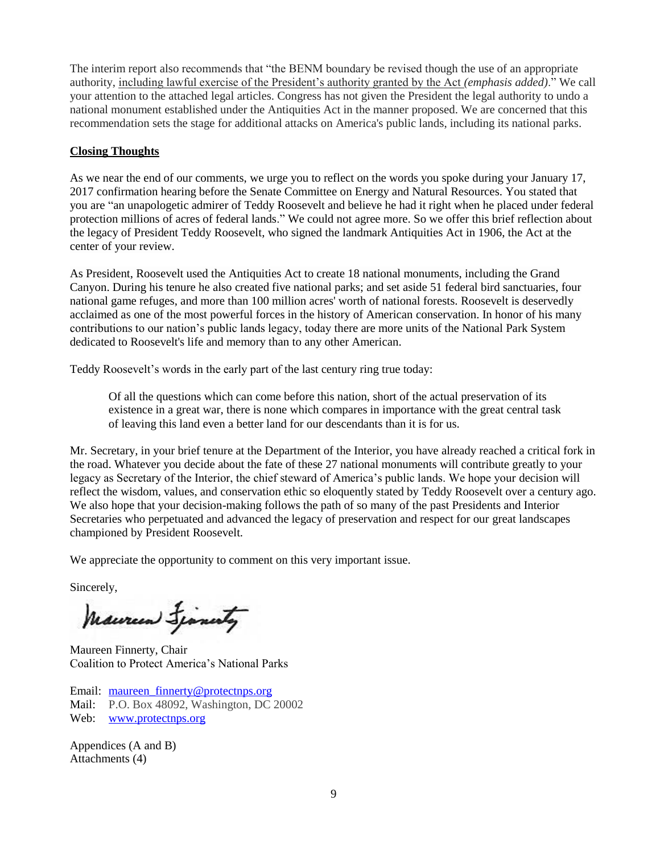The interim report also recommends that "the BENM boundary be revised though the use of an appropriate authority, including lawful exercise of the President's authority granted by the Act *(emphasis added)*." We call your attention to the attached legal articles. Congress has not given the President the legal authority to undo a national monument established under the Antiquities Act in the manner proposed. We are concerned that this recommendation sets the stage for additional attacks on America's public lands, including its national parks.

### **Closing Thoughts**

As we near the end of our comments, we urge you to reflect on the words you spoke during your January 17, 2017 confirmation hearing before the Senate Committee on Energy and Natural Resources. You stated that you are "an unapologetic admirer of Teddy Roosevelt and believe he had it right when he placed under federal protection millions of acres of federal lands." We could not agree more. So we offer this brief reflection about the legacy of President Teddy Roosevelt, who signed the landmark Antiquities Act in 1906, the Act at the center of your review.

As President, Roosevelt used the Antiquities Act to create 18 national monuments, including the Grand Canyon. During his tenure he also created five national parks; and set aside 51 federal bird sanctuaries, four national game refuges, and more than 100 million acres' worth of national forests. Roosevelt is deservedly acclaimed as one of the most powerful forces in the history of American conservation. In honor of his many contributions to our nation's public lands legacy, today there are more units of the National Park System dedicated to Roosevelt's life and memory than to any other American.

Teddy Roosevelt's words in the early part of the last century ring true today:

Of all the questions which can come before this nation, short of the actual preservation of its existence in a great war, there is none which compares in importance with the great central task of leaving this land even a better land for our descendants than it is for us.

Mr. Secretary, in your brief tenure at the Department of the Interior, you have already reached a critical fork in the road. Whatever you decide about the fate of these 27 national monuments will contribute greatly to your legacy as Secretary of the Interior, the chief steward of America's public lands. We hope your decision will reflect the wisdom, values, and conservation ethic so eloquently stated by Teddy Roosevelt over a century ago. We also hope that your decision-making follows the path of so many of the past Presidents and Interior Secretaries who perpetuated and advanced the legacy of preservation and respect for our great landscapes championed by President Roosevelt.

We appreciate the opportunity to comment on this very important issue.

Sincerely,

Maurican Lianesty

Maureen Finnerty, Chair Coalition to Protect America's National Parks

Email: maureen finnerty@protectnps.org Mail: P.O. Box 48092, Washington, DC 20002 Web: [www.protectnps.org](http://www.protectnps.org/)

Appendices (A and B) Attachments (4)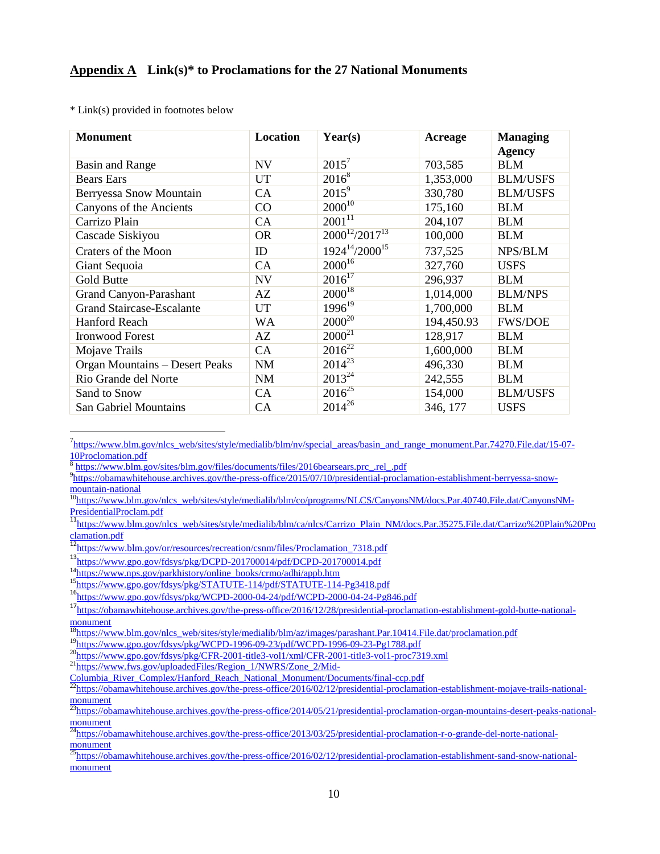\* Link(s) provided in footnotes below

 $\overline{a}$ 

| <b>Monument</b>                  | Location  | Year(s)               | Acreage    | <b>Managing</b><br><b>Agency</b> |
|----------------------------------|-----------|-----------------------|------------|----------------------------------|
| <b>Basin and Range</b>           | <b>NV</b> | $2015^7$              | 703,585    | <b>BLM</b>                       |
| <b>Bears</b> Ears                | UT        | $2016^8$              | 1,353,000  | <b>BLM/USFS</b>                  |
| Berryessa Snow Mountain          | CA        | $2015^9$              | 330,780    | <b>BLM/USFS</b>                  |
| Canyons of the Ancients          | CO        | $2000^{10}$           | 175,160    | <b>BLM</b>                       |
| Carrizo Plain                    | CA        | $2001^{11}$           | 204,107    | <b>BLM</b>                       |
| Cascade Siskiyou                 | <b>OR</b> | $2000^{12}/2017^{13}$ | 100,000    | <b>BLM</b>                       |
| Craters of the Moon              | ID        | $1924^{14}/2000^{15}$ | 737,525    | <b>NPS/BLM</b>                   |
| Giant Sequoia                    | CA        | $2000^{16}$           | 327,760    | <b>USFS</b>                      |
| Gold Butte                       | <b>NV</b> | $2016^{17}$           | 296,937    | <b>BLM</b>                       |
| <b>Grand Canyon-Parashant</b>    | AZ        | $2000^{18}$           | 1,014,000  | <b>BLM/NPS</b>                   |
| <b>Grand Staircase-Escalante</b> | UT        | $1996^{19}$           | 1,700,000  | <b>BLM</b>                       |
| Hanford Reach                    | <b>WA</b> | $2000^{20}$           | 194,450.93 | <b>FWS/DOE</b>                   |
| <b>Ironwood Forest</b>           | AZ        | $2000^{21}$           | 128,917    | <b>BLM</b>                       |
| Mojave Trails                    | CA        | $2016^{22}$           | 1,600,000  | <b>BLM</b>                       |
| Organ Mountains - Desert Peaks   | <b>NM</b> | $2014^{23}$           | 496,330    | <b>BLM</b>                       |
| Rio Grande del Norte             | <b>NM</b> | $2013^{24}$           | 242,555    | <b>BLM</b>                       |
| Sand to Snow                     | CA        | $2016^{25}$           | 154,000    | <b>BLM/USFS</b>                  |
| <b>San Gabriel Mountains</b>     | CA        | $2014^{26}$           | 346, 177   | <b>USFS</b>                      |

<sup>7</sup>[https://www.blm.gov/nlcs\\_web/sites/style/medialib/blm/nv/special\\_areas/basin\\_and\\_range\\_monument.Par.74270.File.dat/15-07-](https://www.blm.gov/nlcs_web/sites/style/medialib/blm/nv/special_areas/basin_and_range_monument.Par.74270.File.dat/15-07-10Proclomation.pdf) [10Proclomation.pdf](https://www.blm.gov/nlcs_web/sites/style/medialib/blm/nv/special_areas/basin_and_range_monument.Par.74270.File.dat/15-07-10Proclomation.pdf)

<sup>15</sup><https://www.gpo.gov/fdsys/pkg/STATUTE-114/pdf/STATUTE-114-Pg3418.pdf>

<sup>8</sup> [https://www.blm.gov/sites/blm.gov/files/documents/files/2016bearsears.prc\\_.rel\\_.pdf](https://www.blm.gov/sites/blm.gov/files/documents/files/2016bearsears.prc_.rel_.pdf)

<sup>9</sup> [https://obamawhitehouse.archives.gov/the-press-office/2015/07/10/presidential-proclamation-establishment-berryessa-snow](https://obamawhitehouse.archives.gov/the-press-office/2015/07/10/presidential-proclamation-establishment-berryessa-snow-mountain-national)[mountain-national](https://obamawhitehouse.archives.gov/the-press-office/2015/07/10/presidential-proclamation-establishment-berryessa-snow-mountain-national)

<sup>&</sup>lt;sup>10</sup>[https://www.blm.gov/nlcs\\_web/sites/style/medialib/blm/co/programs/NLCS/CanyonsNM/docs.Par.40740.File.dat/CanyonsNM-](https://www.blm.gov/nlcs_web/sites/style/medialib/blm/co/programs/NLCS/CanyonsNM/docs.Par.40740.File.dat/CanyonsNM-PresidentialProclam.pdf) $PresidentialProclam.pdf$  $PresidentialProclam.pdf$  $PresidentialProclam.pdf$ </u>

<sup>11</sup>[https://www.blm.gov/nlcs\\_web/sites/style/medialib/blm/ca/nlcs/Carrizo\\_Plain\\_NM/docs.Par.35275.File.dat/Carrizo%20Plain%20Pro](https://www.blm.gov/nlcs_web/sites/style/medialib/blm/ca/nlcs/Carrizo_Plain_NM/docs.Par.35275.File.dat/Carrizo%20Plain%20Proclamation.pdf)  $\frac{\text{clamation.pdf}}{12}$  $\frac{\text{clamation.pdf}}{12}$  $\frac{\text{clamation.pdf}}{12}$ 

<sup>12</sup>[https://www.blm.gov/or/resources/recreation/csnm/files/Proclamation\\_7318.pdf](https://www.blm.gov/or/resources/recreation/csnm/files/Proclamation_7318.pdf)

<sup>13&</sup>lt;br><https://www.gpo.gov/fdsys/pkg/DCPD-201700014/pdf/DCPD-201700014.pdf>

<sup>&</sup>lt;sup>14</sup>[https://www.nps.gov/parkhistory/online\\_books/crmo/adhi/appb.htm](https://www.nps.gov/parkhistory/online_books/crmo/adhi/appb.htm)

<sup>16</sup><https://www.gpo.gov/fdsys/pkg/WCPD-2000-04-24/pdf/WCPD-2000-04-24-Pg846.pdf>

<sup>17</sup>[https://obamawhitehouse.archives.gov/the-press-office/2016/12/28/presidential-proclamation-establishment-gold-butte-national](https://obamawhitehouse.archives.gov/the-press-office/2016/12/28/presidential-proclamation-establishment-gold-butte-national-monument)[monument](https://obamawhitehouse.archives.gov/the-press-office/2016/12/28/presidential-proclamation-establishment-gold-butte-national-monument)

<sup>&</sup>lt;sup>18</sup>[https://www.blm.gov/nlcs\\_web/sites/style/medialib/blm/az/images/parashant.Par.10414.File.dat/proclamation.pdf](https://www.blm.gov/nlcs_web/sites/style/medialib/blm/az/images/parashant.Par.10414.File.dat/proclamation.pdf)

<sup>19</sup><https://www.gpo.gov/fdsys/pkg/WCPD-1996-09-23/pdf/WCPD-1996-09-23-Pg1788.pdf>

<sup>20</sup><https://www.gpo.gov/fdsys/pkg/CFR-2001-title3-vol1/xml/CFR-2001-title3-vol1-proc7319.xml>

<sup>&</sup>lt;sup>21</sup>[https://www.fws.gov/uploadedFiles/Region\\_1/NWRS/Zone\\_2/Mid-](https://www.fws.gov/uploadedFiles/Region_1/NWRS/Zone_2/Mid-Columbia_River_Complex/Hanford_Reach_National_Monument/Documents/final-ccp.pdf)

[Columbia\\_River\\_Complex/Hanford\\_Reach\\_National\\_Monument/Documents/final-ccp.pdf](https://www.fws.gov/uploadedFiles/Region_1/NWRS/Zone_2/Mid-Columbia_River_Complex/Hanford_Reach_National_Monument/Documents/final-ccp.pdf)

 $^{22}$ [https://obamawhitehouse.archives.gov/the-press-office/2016/02/12/presidential-proclamation-establishment-mojave-trails-national](https://obamawhitehouse.archives.gov/the-press-office/2016/02/12/presidential-proclamation-establishment-mojave-trails-national-monument)[monument](https://obamawhitehouse.archives.gov/the-press-office/2016/02/12/presidential-proclamation-establishment-mojave-trails-national-monument)

 $^{23}$ [https://obamawhitehouse.archives.gov/the-press-office/2014/05/21/presidential-proclamation-organ-mountains-desert-peaks-national](https://obamawhitehouse.archives.gov/the-press-office/2014/05/21/presidential-proclamation-organ-mountains-desert-peaks-national-monument)[monument](https://obamawhitehouse.archives.gov/the-press-office/2014/05/21/presidential-proclamation-organ-mountains-desert-peaks-national-monument)

<sup>&</sup>lt;sup>24</sup>[https://obamawhitehouse.archives.gov/the-press-office/2013/03/25/presidential-proclamation-r-o-grande-del-norte-national](https://obamawhitehouse.archives.gov/the-press-office/2013/03/25/presidential-proclamation-r-o-grande-del-norte-national-monument)[monument](https://obamawhitehouse.archives.gov/the-press-office/2013/03/25/presidential-proclamation-r-o-grande-del-norte-national-monument)

<sup>&</sup>lt;sup>25</sup>[https://obamawhitehouse.archives.gov/the-press-office/2016/02/12/presidential-proclamation-establishment-sand-snow-national](https://obamawhitehouse.archives.gov/the-press-office/2016/02/12/presidential-proclamation-establishment-sand-snow-national-monument)[monument](https://obamawhitehouse.archives.gov/the-press-office/2016/02/12/presidential-proclamation-establishment-sand-snow-national-monument)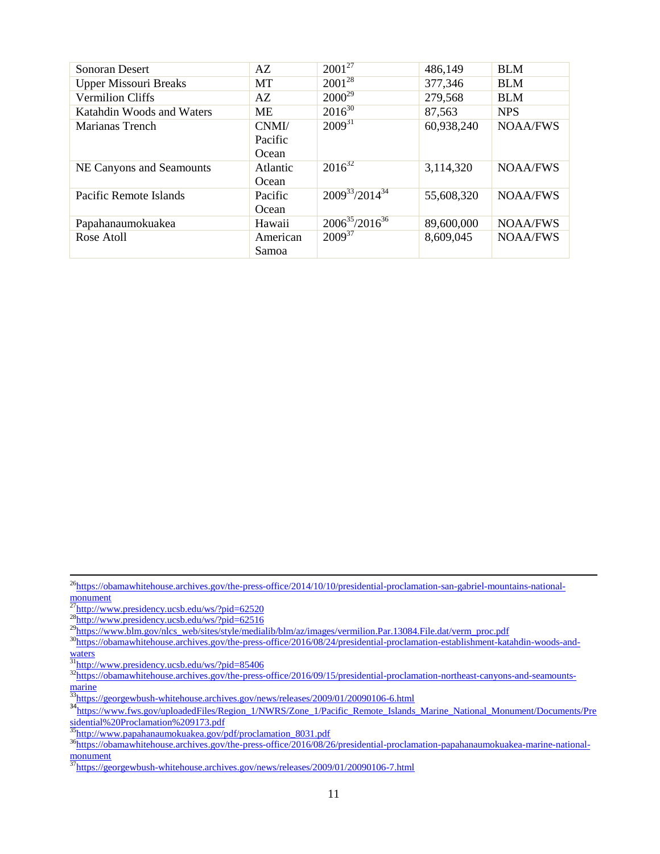| Sonoran Desert               | AZ        | $2001^{27}$           | 486,149    | <b>BLM</b>      |
|------------------------------|-----------|-----------------------|------------|-----------------|
| <b>Upper Missouri Breaks</b> | MT        | $2001^{28}$           | 377,346    | <b>BLM</b>      |
| <b>Vermilion Cliffs</b>      | AZ        | $2000^{29}$           | 279,568    | <b>BLM</b>      |
| Katahdin Woods and Waters    | <b>ME</b> | $2016^{30}$           | 87,563     | <b>NPS</b>      |
| Marianas Trench              | CNMI/     | $2009^{31}$           | 60,938,240 | <b>NOAA/FWS</b> |
|                              | Pacific   |                       |            |                 |
|                              | Ocean     |                       |            |                 |
| NE Canyons and Seamounts     | Atlantic  | $2016^{32}$           | 3,114,320  | <b>NOAA/FWS</b> |
|                              | Ocean     |                       |            |                 |
| Pacific Remote Islands       | Pacific   | $2009^{33}/2014^{34}$ | 55,608,320 | <b>NOAA/FWS</b> |
|                              | Ocean     |                       |            |                 |
| Papahanaumokuakea            | Hawaii    | $2006^{35}/2016^{36}$ | 89,600,000 | <b>NOAA/FWS</b> |
| Rose Atoll                   | American  | $2009^{37}$           | 8,609,045  | <b>NOAA/FWS</b> |
|                              | Samoa     |                       |            |                 |

**.** 

<sup>&</sup>lt;sup>26</sup>[https://obamawhitehouse.archives.gov/the-press-office/2014/10/10/presidential-proclamation-san-gabriel-mountains-national](https://obamawhitehouse.archives.gov/the-press-office/2014/10/10/presidential-proclamation-san-gabriel-mountains-national-monument)[monument](https://obamawhitehouse.archives.gov/the-press-office/2014/10/10/presidential-proclamation-san-gabriel-mountains-national-monument)

<sup>&</sup>lt;sup>27</sup><http://www.presidency.ucsb.edu/ws/?pid=62520>

<sup>28</sup><http://www.presidency.ucsb.edu/ws/?pid=62516>

<sup>&</sup>lt;sup>29</sup>[https://www.blm.gov/nlcs\\_web/sites/style/medialib/blm/az/images/vermilion.Par.13084.File.dat/verm\\_proc.pdf](https://www.blm.gov/nlcs_web/sites/style/medialib/blm/az/images/vermilion.Par.13084.File.dat/verm_proc.pdf)

<sup>30</sup>[https://obamawhitehouse.archives.gov/the-press-office/2016/08/24/presidential-proclamation-establishment-katahdin-woods-and](https://obamawhitehouse.archives.gov/the-press-office/2016/08/24/presidential-proclamation-establishment-katahdin-woods-and-waters)[waters](https://obamawhitehouse.archives.gov/the-press-office/2016/08/24/presidential-proclamation-establishment-katahdin-woods-and-waters)

 $\frac{31 \text{http://www.presidency.ucsb.edu/ws/?pid=85406}}{31 \text{http://www.presidency.ucsb.edu/ws/?pid=85406}}$  $\frac{31 \text{http://www.presidency.ucsb.edu/ws/?pid=85406}}{31 \text{http://www.presidency.ucsb.edu/ws/?pid=85406}}$  $\frac{31 \text{http://www.presidency.ucsb.edu/ws/?pid=85406}}{31 \text{http://www.presidency.ucsb.edu/ws/?pid=85406}}$ 

 $32$ <sub>https://obamawhitehouse.archives.gov/the-press-office/2016/09/15/presidential-proclamation-northeast-canyons-and-seamounts-</sub> [marine](https://obamawhitehouse.archives.gov/the-press-office/2016/09/15/presidential-proclamation-northeast-canyons-and-seamounts-marine)

 $\frac{33}{33}$ <https://georgewbush-whitehouse.archives.gov/news/releases/2009/01/20090106-6.html>

<sup>34</sup>[https://www.fws.gov/uploadedFiles/Region\\_1/NWRS/Zone\\_1/Pacific\\_Remote\\_Islands\\_Marine\\_National\\_Monument/Documents/Pre](https://www.fws.gov/uploadedFiles/Region_1/NWRS/Zone_1/Pacific_Remote_Islands_Marine_National_Monument/Documents/Presidential%20Proclamation%209173.pdf) [sidential%20Proclamation%209173.pdf](https://www.fws.gov/uploadedFiles/Region_1/NWRS/Zone_1/Pacific_Remote_Islands_Marine_National_Monument/Documents/Presidential%20Proclamation%209173.pdf)

<sup>35</sup>[http://www.papahanaumokuakea.gov/pdf/proclamation\\_8031.pdf](http://www.papahanaumokuakea.gov/pdf/proclamation_8031.pdf)

<sup>&</sup>lt;sup>36</sup>[https://obamawhitehouse.archives.gov/the-press-office/2016/08/26/presidential-proclamation-papahanaumokuakea-marine-national](https://obamawhitehouse.archives.gov/the-press-office/2016/08/26/presidential-proclamation-papahanaumokuakea-marine-national-monument)[monument](https://obamawhitehouse.archives.gov/the-press-office/2016/08/26/presidential-proclamation-papahanaumokuakea-marine-national-monument)

<sup>&</sup>lt;sup>37</sup><https://georgewbush-whitehouse.archives.gov/news/releases/2009/01/20090106-7.html>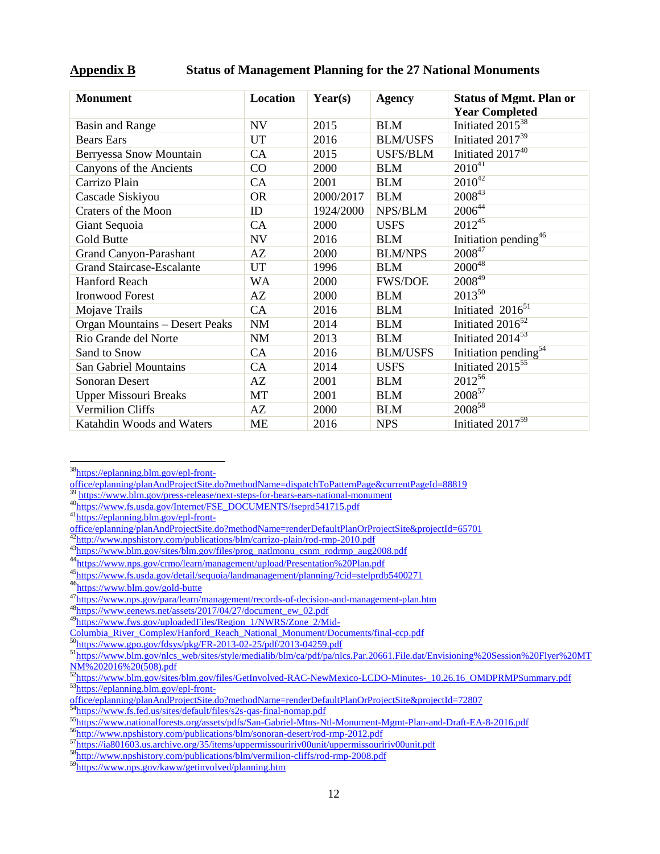| <b>Monument</b>                       | Location  | Year(s)   | <b>Agency</b>   | <b>Status of Mgmt. Plan or</b>   |
|---------------------------------------|-----------|-----------|-----------------|----------------------------------|
|                                       |           |           |                 | <b>Year Completed</b>            |
| <b>Basin and Range</b>                | <b>NV</b> | 2015      | <b>BLM</b>      | Initiated 2015 <sup>38</sup>     |
| <b>Bears</b> Ears                     | <b>UT</b> | 2016      | <b>BLM/USFS</b> | Initiated $2017^{39}$            |
| Berryessa Snow Mountain               | CA        | 2015      | <b>USFS/BLM</b> | Initiated $2017^{40}$            |
| Canyons of the Ancients               | CO        | 2000      | <b>BLM</b>      | $2010^{41}$                      |
| Carrizo Plain                         | CA        | 2001      | <b>BLM</b>      | $2010^{42}$                      |
| Cascade Siskiyou                      | <b>OR</b> | 2000/2017 | <b>BLM</b>      | 200843                           |
| <b>Craters of the Moon</b>            | ID        | 1924/2000 | NPS/BLM         | 200644                           |
| Giant Sequoia                         | CA        | 2000      | <b>USFS</b>     | $2012^{45}$                      |
| <b>Gold Butte</b>                     | <b>NV</b> | 2016      | <b>BLM</b>      | Initiation pending <sup>46</sup> |
| <b>Grand Canyon-Parashant</b>         | AZ        | 2000      | <b>BLM/NPS</b>  | $2008^{47}$                      |
| <b>Grand Staircase-Escalante</b>      | <b>UT</b> | 1996      | <b>BLM</b>      | $2000^{48}$                      |
| Hanford Reach                         | <b>WA</b> | 2000      | <b>FWS/DOE</b>  | $2008^{49}$                      |
| <b>Ironwood Forest</b>                | AZ        | 2000      | <b>BLM</b>      | $2013^{50}$                      |
| Mojave Trails                         | CA        | 2016      | <b>BLM</b>      | Initiated 2016 <sup>51</sup>     |
| <b>Organ Mountains - Desert Peaks</b> | NM        | 2014      | <b>BLM</b>      | Initiated $2016^{52}$            |
| Rio Grande del Norte                  | <b>NM</b> | 2013      | <b>BLM</b>      | Initiated 2014 <sup>53</sup>     |
| Sand to Snow                          | CA        | 2016      | <b>BLM/USFS</b> | Initiation pending <sup>54</sup> |
| <b>San Gabriel Mountains</b>          | CA        | 2014      | <b>USFS</b>     | Initiated $2015^{55}$            |
| <b>Sonoran Desert</b>                 | AZ        | 2001      | <b>BLM</b>      | $2012^{56}$                      |
| <b>Upper Missouri Breaks</b>          | <b>MT</b> | 2001      | <b>BLM</b>      | 200857                           |
| <b>Vermilion Cliffs</b>               | AZ        | 2000      | <b>BLM</b>      | 2008 <sup>58</sup>               |
| Katahdin Woods and Waters             | <b>ME</b> | 2016      | <b>NPS</b>      | Initiated $2017^{59}$            |

#### **Appendix B Status of Management Planning for the 27 National Monuments**

<sup>38</sup>[https://eplanning.blm.gov/epl-front-](https://eplanning.blm.gov/epl-front-office/eplanning/planAndProjectSite.do?methodName=dispatchToPatternPage¤tPageId=88819)

[office/eplanning/planAndProjectSite.do?methodName=dispatchToPatternPage&currentPageId=88819](https://eplanning.blm.gov/epl-front-office/eplanning/planAndProjectSite.do?methodName=dispatchToPatternPage¤tPageId=88819)

<sup>&</sup>lt;sup>39</sup> <https://www.blm.gov/press-release/next-steps-for-bears-ears-national-monument>

<sup>&</sup>lt;sup>40</sup>[https://www.fs.usda.gov/Internet/FSE\\_DOCUMENTS/fseprd541715.pdf](https://www.fs.usda.gov/Internet/FSE_DOCUMENTS/fseprd541715.pdf)

<sup>41</sup>[https://eplanning.blm.gov/epl-front-](https://eplanning.blm.gov/epl-front-office/eplanning/planAndProjectSite.do?methodName=renderDefaultPlanOrProjectSite&projectId=65701)

[office/eplanning/planAndProjectSite.do?methodName=renderDefaultPlanOrProjectSite&projectId=65701](https://eplanning.blm.gov/epl-front-office/eplanning/planAndProjectSite.do?methodName=renderDefaultPlanOrProjectSite&projectId=65701)

<sup>&</sup>lt;sup>42</sup><http://www.npshistory.com/publications/blm/carrizo-plain/rod-rmp-2010.pdf>

<sup>43</sup>[https://www.blm.gov/sites/blm.gov/files/prog\\_natlmonu\\_csnm\\_rodrmp\\_aug2008.pdf](https://www.blm.gov/sites/blm.gov/files/prog_natlmonu_csnm_rodrmp_aug2008.pdf)

<sup>44&</sup>lt;br><https://www.nps.gov/crmo/learn/management/upload/Presentation%20Plan.pdf>

<sup>45</sup><https://www.fs.usda.gov/detail/sequoia/landmanagement/planning/?cid=stelprdb5400271>

<sup>46</sup><https://www.blm.gov/gold-butte>

<sup>&</sup>lt;sup>47</sup><https://www.nps.gov/para/learn/management/records-of-decision-and-management-plan.htm>

<sup>&</sup>lt;sup>48</sup>[https://www.eenews.net/assets/2017/04/27/document\\_ew\\_02.pdf](https://www.eenews.net/assets/2017/04/27/document_ew_02.pdf)

<sup>&</sup>lt;sup>49</sup>[https://www.fws.gov/uploadedFiles/Region\\_1/NWRS/Zone\\_2/Mid-](https://www.fws.gov/uploadedFiles/Region_1/NWRS/Zone_2/Mid-Columbia_River_Complex/Hanford_Reach_National_Monument/Documents/final-ccp.pdf)

[Columbia\\_River\\_Complex/Hanford\\_Reach\\_National\\_Monument/Documents/final-ccp.pdf](https://www.fws.gov/uploadedFiles/Region_1/NWRS/Zone_2/Mid-Columbia_River_Complex/Hanford_Reach_National_Monument/Documents/final-ccp.pdf)

<sup>50</sup><https://www.gpo.gov/fdsys/pkg/FR-2013-02-25/pdf/2013-04259.pdf>

<sup>&</sup>lt;sup>51</sup>[https://www.blm.gov/nlcs\\_web/sites/style/medialib/blm/ca/pdf/pa/nlcs.Par.20661.File.dat/Envisioning%20Session%20Flyer%20MT](https://www.blm.gov/nlcs_web/sites/style/medialib/blm/ca/pdf/pa/nlcs.Par.20661.File.dat/Envisioning%20Session%20Flyer%20MTNM%202016%20(508).pdf) [NM%202016%20\(508\).pdf](https://www.blm.gov/nlcs_web/sites/style/medialib/blm/ca/pdf/pa/nlcs.Par.20661.File.dat/Envisioning%20Session%20Flyer%20MTNM%202016%20(508).pdf)

<sup>&</sup>lt;sup>52</sup>[https://www.blm.gov/sites/blm.gov/files/GetInvolved-RAC-NewMexico-LCDO-Minutes-\\_10.26.16\\_OMDPRMPSummary.pdf](https://www.blm.gov/sites/blm.gov/files/GetInvolved-RAC-NewMexico-LCDO-Minutes-_10.26.16_OMDPRMPSummary.pdf) <sup>53</sup>[https://eplanning.blm.gov/epl-front-](https://eplanning.blm.gov/epl-front-office/eplanning/planAndProjectSite.do?methodName=renderDefaultPlanOrProjectSite&projectId=72807)

[office/eplanning/planAndProjectSite.do?methodName=renderDefaultPlanOrProjectSite&projectId=72807](https://eplanning.blm.gov/epl-front-office/eplanning/planAndProjectSite.do?methodName=renderDefaultPlanOrProjectSite&projectId=72807) <sup>54</sup><https://www.fs.fed.us/sites/default/files/s2s-qas-final-nomap.pdf>

<sup>55</sup><https://www.nationalforests.org/assets/pdfs/San-Gabriel-Mtns-Ntl-Monument-Mgmt-Plan-and-Draft-EA-8-2016.pdf>

<sup>56</sup><http://www.npshistory.com/publications/blm/sonoran-desert/rod-rmp-2012.pdf>

<sup>57</sup><https://ia801603.us.archive.org/35/items/uppermissouririv00unit/uppermissouririv00unit.pdf>

<sup>58</sup><http://www.npshistory.com/publications/blm/vermilion-cliffs/rod-rmp-2008.pdf>

<sup>59</sup>https://www<u>.nps.gov/kaww/getinvolved/planning.htm</u>